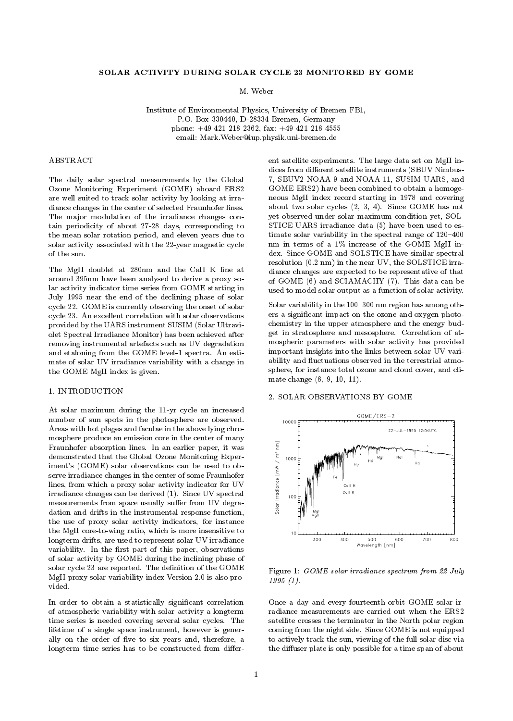# SOLAR ACTIVITY DURING SOLAR CYCLE 23 MONITORED BY GOME

M. Weber

Institute of Environmental Physics, University of Bremen FB1, P.O. Box 330440, D-28334 Bremen, Germany phone: +49 421 218 2362, fax: +49 421 218 4555 email: Mark.Weber@iup.physik.uni-bremen.de

## ABSTRACT

The daily solar spectral measurements by the Global Ozone Monitoring Experiment (GOME) aboard ERS2 are well suited to track solar activity by looking at irradiance changes in the center of selected Fraunhofer lines. The major modulation of the irradiance changes contain periodicity of about 27-28 days, corresponding to the mean solar rotation period, and eleven years due to solar activity associated with the 22-year magnetic cycle of the sun.

The MgII doublet at 280nm and the CaII K line at around 395nm have been analysed to derive a proxy solar activity indicator time series from GOME starting in July 1995 near the end of the declining phase of solar cycle 22. GOME is currently observing the onset of solar cycle 23. An excellent correlation with solar observations provided by the UARS instrument SUSIM (Solar Ultraviolet Spectral Irradiance Monitor) has been achieved after removing instrumental artefacts such as UV degradation and etaloning from the GOME level-1 spectra. An estimate of solar UV irradiance variability with a change in the GOME MgII index is given.

#### 1. INTRODUCTION

At solar maximum during the 11-yr cycle an increased number of sun spots in the photosphere are observed. Areas with hot plages and faculae in the above lying chromosphere produce an emission core in the center of many<br>
Fraunhofer absorption lines. In an earlier paper, it was<br>
demonstrated that the Global Ozone Monitoring Exper-<br>
iment's (GOME) solar observations can be used to ob-Fraunhofer absorption lines. In an earlier paper, it was demonstrated that the Global Ozone Monitoring Experiment's (GOME) solar observations can be used to ob serve irradiance changes in the center of some Fraunhofer lines, from which a proxy solar activity indicator for UV irradiance changes can be derived (1). Since UV spectral measurements from space usually suffer from UV degradation and drifts in the instrumental response function, the use of proxy solar activity indicators, for instance the MgII core-to-wing ratio, which is more insensitive to longterm drifts, are used to represent solar UV irradiance variability. In the first part of this paper, observations of solar activity by GOME during the inclining phase of solar cycle 23 are reported. The definition of the GOME MgII proxy solar variability index Version 2.0 is also provided.

In order to obtain a statistically significant correlation of atmospheric variability with solar activity a longterm time series is needed covering several solar cycles. The lifetime of a single space instrument, however is generally on the order of five to six years and, therefore, a longterm time series has to be constructed from different satellite experiments. The large data set on MgII indices from different satellite instruments (SBUV Nimbus-7, SBUV2 NOAA-9 and NOAA-11, SUSIM UARS, and GOME ERS2) have been combined to obtain a homoge neous MgII index record starting in 1978 and covering about two solar cycles (2, 3, 4). Since GOME has not yet observed under solar maximum condition yet, SOL-STICE UARS irradiance data (5) have been used to estimate solar variability in the spectral range of  $120{-}400$ nm in terms of a 1% increase of the GOME MgII index. Since GOME and SOLSTICE have similar spectral resolution (0.2 nm) in the near UV, the SOLSTICE irradiance changes are expected to be representative of that of GOME (6) and SCIAMACHY (7). This data can be used to model solar output as a function of solar activity.

Solar variability in the 100-300 nm region has among others a signicant impact on the ozone and oxygen photo chemistry in the upper atmosphere and the energy budget in stratosphere and mesosphere. Correlation of atmospheric parameters with solar activity has provided important insights into the links between solar UV variability and fluctuations observed in the terrestrial atmosphere, for instance total ozone and cloud cover, and climate change (8, 9, 10, 11).

#### 2. SOLAR OBSERVATIONS BY GOME



Figure 1: GOME solar irradiance spectrum from 22 July 1995 (1).

Once a day and every fourteenth orbit GOME solar irradiance measurements are carried out when the ERS2 satellite crosses the terminator in the North polar region coming from the night side. Since GOME is not equipped to actively track the sun, viewing of the full solar disc via the diffuser plate is only possible for a time span of about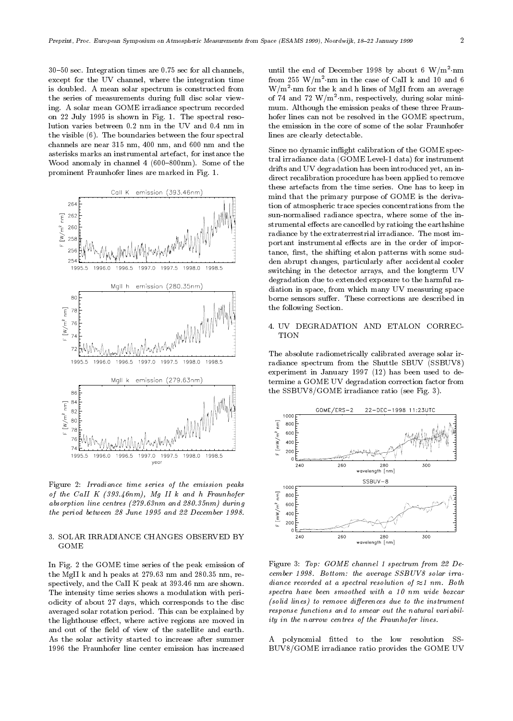$30-50$  sec. Integration times are 0.75 sec for all channels, except for the UV channel, where the integration time is doubled. A mean solar spectrum is constructed from the series of measurements during full disc solar viewing. A solar mean GOME irradiance spectrum recorded on 22 July 1995 is shown in Fig. 1. The spectral resolution varies between 0.2 nm in the UV and 0.4 nm in the visible (6). The boundaries between the four spectral channels are near 315 nm, 400 nm, and 600 nm and the asterisks marks an instrumental artefact, for instance the Wood anomaly in channel  $4(600-800nm)$ . Some of the prominent Fraunhofer lines are marked in Fig. 1.



Figure 2: Irradiance time series of the emission peaks of the CaII K  $(393.46nm)$ , Mg II k and h Fraunhofer absorption line centres (279.63nm and 280.35nm) during the period between 28 June 1995 and 22 December 1998.

## 3. SOLAR IRRADIANCE CHANGES OBSERVED BY GOME

In Fig. 2 the GOME time series of the peak emission of the MgII k and h peaks at 279.63 nm and 280.35 nm, respectively, and the CaII K peak at 393.46 nm are shown. The intensity time series shows a modulation with periodicity of about 27 days, which corresponds to the disc averaged solar rotation period. This can be explained by the lighthouse effect, where active regions are moved in and out of the field of view of the satellite and earth. As the solar activity started to increase after summer 1996 the Fraunhofer line center emission has increased

until the end of December 1998 by about 6 W/m  $\cdot$ nm from 255 W/m2 nm in the case of CaII k and 10 and 6 W/m2 nm for the k and h lines of MgII from an average of 74 and 72 W/m2 nm, respectively, during solar mini mum. Although the emission peaks of these three Fraun hofer lines can not be resolved in the GOME spectrum, the emission in the core of some of the solar Fraunhofer lines are clearly detectable.

Since no dynamic inflight calibration of the GOME spectral irradiance data (GOME Level-1 data) for instrument drifts and UV degradation has been introduced yet, an indirect recalibration procedure has been applied to remove these artefacts from the time series. One has to keep in mind that the primary purpose of GOME is the deriva tion of atmospheric trace species concentrations from the sun-normalised radiance spectra, where some of the instrumental effects are cancelled by ratioing the earthshine radiance by the extraterrestrial irradiance. The most important instrumental effects are in the order of importance, first, the shifting etalon patterns with some sudden abrupt changes, particularly after accidental cooler switching in the detector arrays, and the longterm UV degradation due to extended exposure to the harmful radiation in space, from which many UV measuring space borne sensors suffer. These corrections are described in the following Section.

# 4. UV DEGRADATION AND ETALON CORREC-

The absolute radiometrically calibrated average solar irradiance spectrum from the Shuttle SBUV (SSBUV8) experiment in January 1997 (12) has been used to determine a GOME UV degradation correction factor from the SSBUV8/GOME irradiance ratio (see Fig. 3).



Figure 3: Top: GOME channel 1 spectrum from 22 De cember 1998. Bottom: the average SSBUV8 solar irra diance recorded at a spectral resolution of  $\approx 1$  nm. Both spectra have been smoothed with a 10 nm wide boxcar  $(solid lines)$  to remove differences due to the instrument response functions and to smear out the natural variability in the narrow centres of the Fraunhofer lines.

A polynomial fitted to the low resolution SS-BUV8/GOME irradiance ratio provides the GOME UV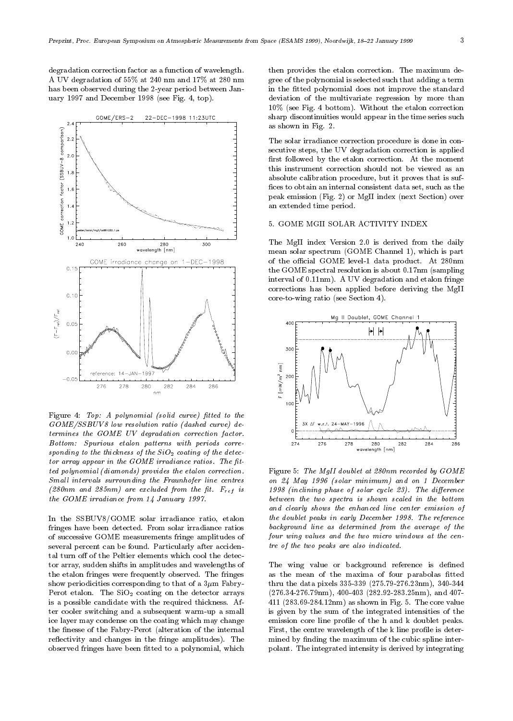degradation correction factor as a function of wavelength. A UV degradation of 55% at 240 nm and 17% at 280 nm has been observed during the 2-year period between January 1997 and December 1998 (see Fig. 4, top).



Figure 4: Top: A polynomial (solid curve) fitted to the GOME/SSBUV8 low resolution ratio (dashed curve) determines the GOME UV degradation correction factor. Bottom: Spurious etalon patterns with periods corre sponding to the thickness of the  $SiO<sub>2</sub>$  coating of the detec $tor$  array appear in the  $GOME$  irradiance ratios. The fitted polynomial (diamonds) provides the etalon correction. Small intervals surrounding the Fraunhofer line centres (280nm and 285nm) are excluded from the fit.  $F_{ref}$  is the GOME irradiance from 14 January 1997.

In the SSBUV8/GOME solar irradiance ratio, etalon fringes have been detected. From solar irradiance ratios of successive GOME measurements fringe amplitudes of several percent can be found. Particularly after accidental turn off of the Peltier elements which cool the detector array, sudden shifts in amplitudes and wavelengths of the etalon fringes were frequently observed. The fringes show periodicities corresponding to that of a  $3\mu$ m Fabry-Perot etalon. The  $SiO<sub>2</sub>$  coating on the detector arrays is a possible candidate with the required thickness. After cooler switching and a subsequent warm-up a small ice layer may condense on the coating which may change the finesse of the Fabry-Perot (alteration of the internal reflectivity and changes in the fringe amplitudes). The observed fringes have been fitted to a polynomial, which then provides the etalon correction. The maximum degree of the polynomial is selected such that adding a term in the fitted polynomial does not improve the standard deviation of the multivariate regression by more than 10% (see Fig. 4 bottom). Without the etalon correction sharp discontinuities would appear in the time series such as shown in Fig. 2.

The solar irradiance correction procedure is done in consecutive steps, the UV degradation correction is applied first followed by the etalon correction. At the moment this instrument correction should not be viewed as an absolute calibration procedure, but it proves that is suf fices to obtain an internal consistent data set, such as the peak emission (Fig. 2) or MgII index (next Section) over an extended time period.

## 5. GOME MGII SOLAR ACTIVITY INDEX

The MgII index Version 2.0 is derived from the daily mean solar spectrum (GOME Channel 1), which is part of the official GOME level-1 data product. At 280nm the GOME spectral resolution is about 0.17nm (sampling interval of 0.11nm). A UV degradation and etalon fringe corrections has been applied before deriving the MgII core-to-wing ratio (see Section 4).



Figure 5: The MgII doublet at 280nm recorded by GOME on 24 May 1996 (solar minimum) and on 1 December  $1998$  (inclining phase of solar cycle 23). The difference between the two spectra is shown scaled in the bottom and clearly shows the enhanced line center emission of the doublet peaks in early December 1998. The reference background line as determined from the average of the four wing values and the two micro windows at the centre of the two peaks are also indicated.

The wing value or background reference is defined as the mean of the maxima of four parabolas fitted thru the data pixels 335-339 (275.79-276.23nm), 340-344 (276.34-276.79nm), 400-403 (282.92-283.25nm), and 407- 411 (283.69-284.12nm) as shown in Fig. 5. The core value is given by the sum of the integrated intensities of the emission core line profile of the h and k doublet peaks. First, the centre wavelength of the k line profile is determined by finding the maximum of the cubic spline interpolant. The integrated intensity is derived by integrating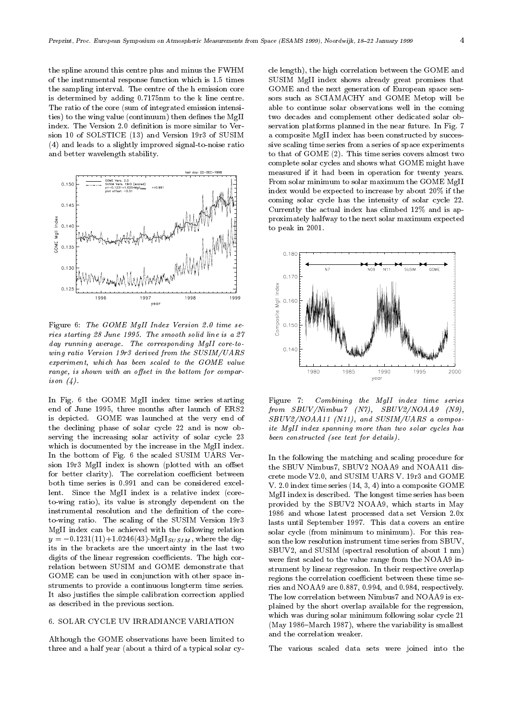the spline around this centre plus and minus the FWHM of the instrumental response function which is 1.5 times the sampling interval. The centre of the h emission core is determined by adding 0.7175nm to the k line centre. The ratio of the core (sum of integrated emission intensities) to the wing value (continuum) then defines the MgII index. The Version 2.0 definition is more similar to Version 10 of SOLSTICE (13) and Version 19r3 of SUSIM (4) and leads to a slightly improved signal-to-noise ratio and better wavelength stability.



Figure 6: The GOME MgII Index Version 2.0 time se ries starting 28 June 1995. The smooth solid line is a 27 day running average. The corresponding MgII core-towing ratio Version 19r3 derived from the SUSIM/UARS experiment, which has been scaled to the GOME value range, is shown with an offset in the bottom for comparison (4).

In Fig. 6 the GOME MgII index time series starting Figure 7: end of June 1995, three months after launch of ERS2 is depicted. GOME waslaunched at the very end of the declining phase of solar cycle 22 and is now observing the increasing solar activity of solar cycle 23 which is documented by the increase in the MgII index. In the bottom of Fig. 6 the scaled SUSIM UARS Ver sion 19r3 MgII index is shown (plotted with an offset for better clarity). The correlation coefficient between both time series is 0.991 and can be considered excellent. Since the MgII index is a relative index (coreto-wing ratio), its value is strongly dependent on the instrumental resolution and the definition of the coreto-wing ratio. The scaling of the SUSIM Version 19r3 MgII index can be achieved with the following relation  $y = -0.1231(11) + 1.0246(43)$  MgII<sub>SUSIM</sub>, where the digits in the brackets are the uncertainty in the last two digits of the linear regression coefficients. The high correlation between SUSIM and GOME demonstrate that GOME can be used in conjunction with other space instruments to provide a continuous longterm time series. It also justies the simple calibration correction applied as described in the previous section.

#### 6. SOLAR CYCLE UV IRRADIANCE VARIATION

Although the GOME observations have been limited to three and a half year (about a third of a typical solar cycle length), the high correlation between the GOME and SUSIM MgII index shows already great promises that GOME and the next generation of European space sen sors such as SCIAMACHY and GOME Metop will be able to continue solar observations well in the coming two decades and complement other dedicated solar ob servation platforms planned in the near future. In Fig. 7 a composite MgII index has been constructed by successive scaling time series from a series of space experiments to that of GOME (2). This time series covers almost two complete solar cycles and shows what GOME might have measured if it had been in operation for twenty years. From solar minimum to solar maximum the GOME MgII index would be expected to increase by about 20% if the coming solar cycle has the intensity of solar cycle 22. Currently the actual index has climbed 12% and is approximately halfway to the next solar maximum expected to peak in 2001.



Combining the MgII index time series from SBUV/Nimbus7 (N7), SBUV2/NOAA9 (N9), SBUV2/NOAA11 (N11), and SUSIM/UARS a composite MgII index spanning more than two solar cycles has been constructed (see text for details).

In the following the matching and scaling procedure for the SBUV Nimbus7, SBUV2 NOAA9 and NOAA11 discrete mode V2.0, and SUSIM UARS V. 19r3 and GOME V. 2.0 index time series (14, 3, 4) into a composite GOME MgII index is described. The longest time series has been provided by the SBUV2 NOAA9, which starts in May 1986 and whose latest processed data set Version 2.0x lasts until September 1997. This data covers an entire solar cycle (from minimum to minimum). For this reason the low resolution instrument time series from SBUV, SBUV2, and SUSIM (spectral resolution of about 1 nm) were first scaled to the value range from the NOAA9 instrument by linear regression. In their respective overlap regions the correlation coefficient between these time series and NOAA9 are 0.887, 0.994, and 0.984, respectively. The low correlation between Nimbus7 and NOAA9 is explained by the short overlap available for the regression, which was during solar minimum following solar cycle 21 (May 1986–March 1987), where the variability is smallest and the correlation weaker.

The various scaled data sets were joined into the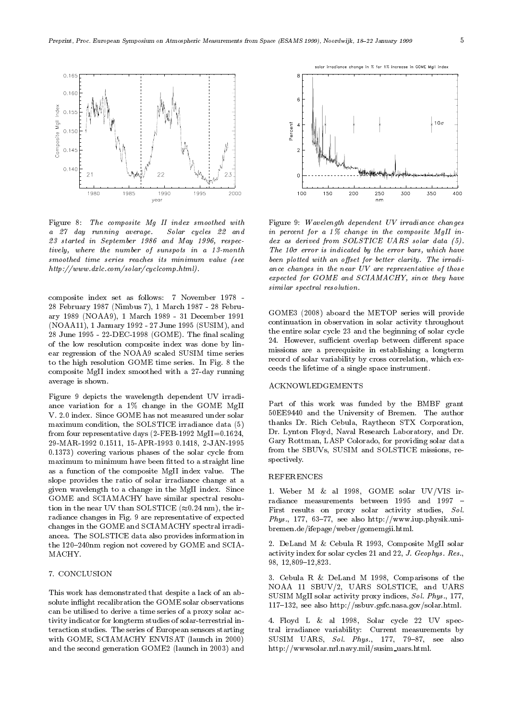

Figure 8: The composite Mg II index smoothed with a 27 day running average. Solar cycles 22 and 23 started in September 1986 and May 1996, respectively, where the number of sunspots in a 13-month smoothed time series reaches its minimum value (see http://www.dxlc.com/solar/cyclcomp.html).

composite index set as follows: 7 November 1978 - 28 February 1987 (Nimbus 7), 1 March 1987 - 28 February 1989 (NOAA9), 1 March 1989 - 31 December 1991 (NOAA11), 1 January 1992 - 27 June 1995 (SUSIM), and 28 June 1995 - 22-DEC-1998 (GOME). The final scaling of the low resolution composite index was done by lin ear regression of the NOAA9 scaled SUSIM time series to the high resolution GOME time series. In Fig. 8 the composite MgII index smoothed with a 27-day running average is shown.

Figure 9 depicts the wavelength dependent UV irradi ance variation for a 1% change in the GOME MgII V. 2.0 index. Since GOME has not measured under solar maximum condition, the SOLSTICE irradiance data (5) from four representative days (2-FEB-1992 MgII=0.1624, 29-MAR-1992 0.1511, 15-APR-1993 0.1418, 2-JAN-1995 0.1373) covering various phases of the solar cycle from maximum to minimum have been fitted to a straight line as a function of the composite MgII index value. The slope provides the ratio of solar irradiance change at a given wavelength to a change in the MgII index. Since GOME and SCIAMACHY have similar spectral resolution in the near UV than SOLSTICE  $(\approx 0.24 \text{ nm})$ , the irradiance changes in Fig. 9 are representative of expected changes in the GOME and SCIAMACHY spectral irradi ancea. The SOLSTICE data also provides information in the 120-240nm region not covered by GOME and SCIA-MACHY.

# 7. CONCLUSION

This work has demonstrated that despite a lack of an absolute inflight recalibration the GOME solar observations can be utilised to derive a time series of a proxy solar activity indicator for longterm studies of solar-terrestrial interaction studies. The series of European sensors starting with GOME, SCIAMACHY ENVISAT (launch in 2000) and the second generation GOME2 (launch in 2003) and



Figure 9: Wavelength dependent UV irradiance changes in percent for a 1% change in the composite MgII index as derived from SOLSTICE UARS solar data (5). The  $10\sigma$  error is indicated by the error bars, which have been plotted with an offset for better clarity. The irradiance changes in the near UV are representative of those expected for GOME and SCIAMACHY, since they have similar spectral resolution.

GOME3 (2008) aboard the METOP series will provide continuation in observation in solar activity throughout the entire solar cycle 23 and the beginning of solar cycle 24. However, sufficient overlap between different space missions are a prerequisite in establishing a longterm record of solar variability by cross correlation, which exceeds the lifetime of a single space instrument.

## ACKNOWLEDGEMENTS

Part of this work was funded by the BMBF grant 50EE9440 and the University of Bremen. The author thanks Dr. Rich Cebula, Raytheon STX Corporation, Dr. Lynton Floyd, Naval Research Laboratory, and Dr. Gary Rottman, LASP Colorado, for providing solar data from the SBUVs, SUSIM and SOLSTICE missions, re spectively.

#### REFERENCES

1. Weber M & al 1998, GOME solar UV/VIS irradiance measurements between 1995 and 1997 -First results on proxy solar activity studies, Sol. Phys., 177, 63-77, see also  $\frac{\text{http://www.iup.physik.uni-}}{\text{http://www.iiup.physik.uni-}}$ bremen.de/ifepage/weber/gomemgii.html.

2. DeLand M & Cebula R 1993, Composite MgII solar activity index for solar cycles 21 and 22, J. Geophys. Res., 98, 12,809-12,823.

3. Cebula R & DeLand M 1998, Comparisons of the NOAA 11 SBUV/2, UARS SOLSTICE, and UARS SUSIM MgII solar activity proxy indices, Sol. Phys., 177, 117{132, see also http://ssbuv.gsfc.nasa.gov/solar.html.

4. Floyd L & al 1998, Solar cycle 22 UV spectral irradiance variability: Current measurements by SUSIM UARS, Sol. Phys., 177, 79-87, see also http://wwwsolar.nrl.navy.mil/susim uars.html.

nge in % for 1% incre se in GOME MgII inde: